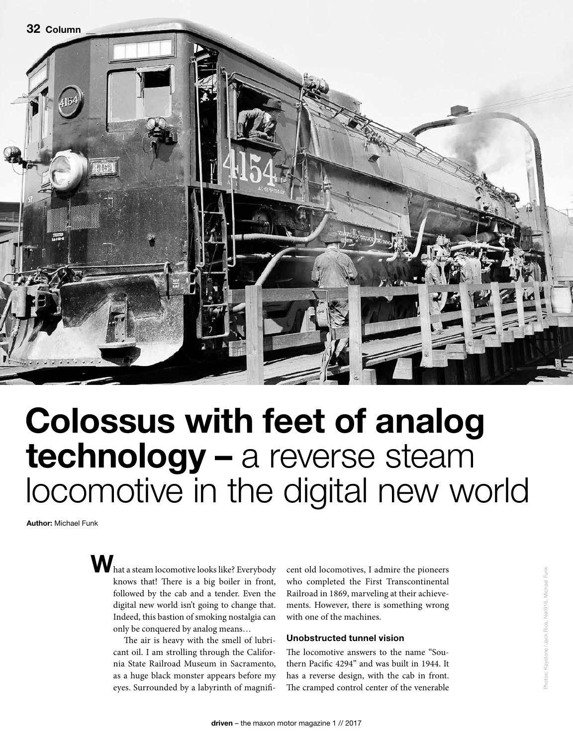

## Colossus with feet of analog technology – a reverse steam locomotive in the digital new world

Author: Michael Funk

 $\mathbf{W}$  hat a steam locomotive looks like? Everybody knows that! There is a big boiler in front, followed by the cab and a tender. Even the digital new world isn't going to change that. Indeed, this bastion of smoking nostalgia can only be conquered by analog means…

> The air is heavy with the smell of lubricant oil. I am strolling through the California State Railroad Museum in Sacramento, as a huge black monster appears before my eyes. Surrounded by a labyrinth of magnifi

cent old locomotives, I admire the pioneers who completed the First Transcontinental Railroad in 1869, marveling at their achievements. However, there is something wrong with one of the machines.

## Unobstructed tunnel vision

The locomotive answers to the name "Southern Pacific 4294" and was built in 1944. It has a reverse design, with the cab in front. The cramped control center of the venerable